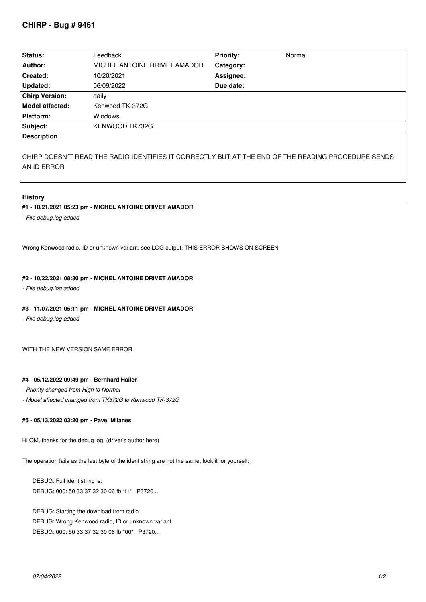| Status:                | Feedback                     | <b>Priority:</b> | Normal |
|------------------------|------------------------------|------------------|--------|
| Author:                | MICHEL ANTOINE DRIVET AMADOR | Category:        |        |
| Created:               | 10/20/2021                   | Assignee:        |        |
| Updated:               | 06/09/2022                   | Due date:        |        |
| <b>Chirp Version:</b>  | daily                        |                  |        |
| <b>Model affected:</b> | Kenwood TK-372G              |                  |        |
| <b>Platform:</b>       | <b>Windows</b>               |                  |        |
| Subject:               | KENWOOD TK732G               |                  |        |
| <b>Description</b>     |                              |                  |        |

*CHIRP DOESN´T READ THE RADIO IDENTIFIES IT CORRECTLY BUT AT THE END OF THE READING PROCEDURE SENDS AN ID ERROR*

## **History**

# **#1 - 10/21/2021 05:23 pm - MICHEL ANTOINE DRIVET AMADOR**

*- File debug.log added*

*Wrong Kenwood radio, ID or unknown variant, see LOG output. THIS ERROR SHOWS ON SCREEN*

# **#2 - 10/22/2021 08:30 pm - MICHEL ANTOINE DRIVET AMADOR**

*- File debug.log added*

## **#3 - 11/07/2021 05:11 pm - MICHEL ANTOINE DRIVET AMADOR**

*- File debug.log added*

*WITH THE NEW VERSION SAME ERROR*

#### **#4 - 05/12/2022 09:49 pm - Bernhard Hailer**

- *Priority changed from High to Normal*
- *Model affected changed from TK372G to Kenwood TK-372G*

## **#5 - 05/13/2022 03:20 pm - Pavel Milanes**

*Hi OM, thanks for the debug log. (driver's author here)*

*The operation fails as the last byte of the ident string are not the same, look it for yourself:*

*DEBUG: Full ident string is: DEBUG: 000: 50 33 37 32 30 06 fb \*f1\* P3720...*

*DEBUG: Starting the download from radio DEBUG: Wrong Kenwood radio, ID or unknown variant DEBUG: 000: 50 33 37 32 30 06 fb \*00\* P3720...*